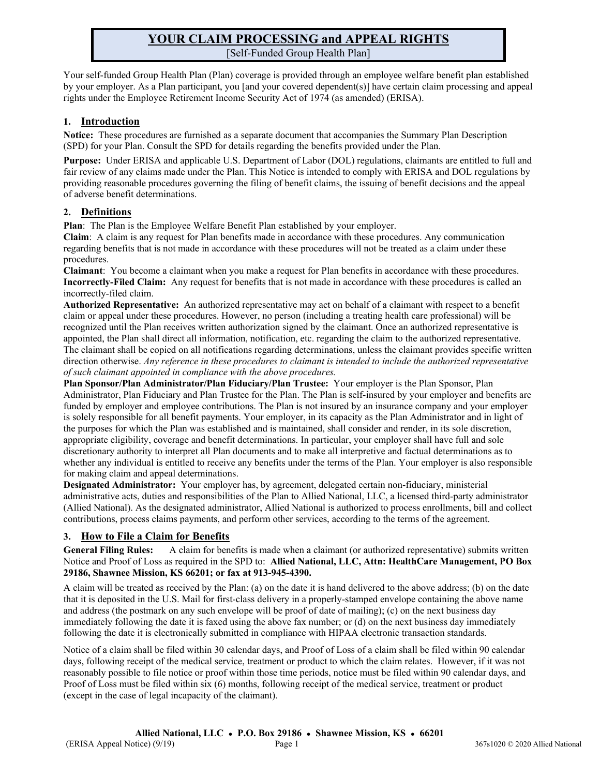# **YOUR CLAIM PROCESSING and APPEAL RIGHTS** [Self-Funded Group Health Plan]

Your self-funded Group Health Plan (Plan) coverage is provided through an employee welfare benefit plan established by your employer. As a Plan participant, you [and your covered dependent(s)] have certain claim processing and appeal rights under the Employee Retirement Income Security Act of 1974 (as amended) (ERISA).

### **1. Introduction**

**Notice:** These procedures are furnished as a separate document that accompanies the Summary Plan Description (SPD) for your Plan. Consult the SPD for details regarding the benefits provided under the Plan.

**Purpose:** Under ERISA and applicable U.S. Department of Labor (DOL) regulations, claimants are entitled to full and fair review of any claims made under the Plan. This Notice is intended to comply with ERISA and DOL regulations by providing reasonable procedures governing the filing of benefit claims, the issuing of benefit decisions and the appeal of adverse benefit determinations.

#### **2. Definitions**

**Plan**: The Plan is the Employee Welfare Benefit Plan established by your employer.

**Claim**: A claim is any request for Plan benefits made in accordance with these procedures. Any communication regarding benefits that is not made in accordance with these procedures will not be treated as a claim under these procedures.

**Claimant**: You become a claimant when you make a request for Plan benefits in accordance with these procedures. **Incorrectly-Filed Claim:** Any request for benefits that is not made in accordance with these procedures is called an incorrectly-filed claim.

**Authorized Representative:** An authorized representative may act on behalf of a claimant with respect to a benefit claim or appeal under these procedures. However, no person (including a treating health care professional) will be recognized until the Plan receives written authorization signed by the claimant. Once an authorized representative is appointed, the Plan shall direct all information, notification, etc. regarding the claim to the authorized representative. The claimant shall be copied on all notifications regarding determinations, unless the claimant provides specific written direction otherwise. *Any reference in these procedures to claimant is intended to include the authorized representative of such claimant appointed in compliance with the above procedures.*

**Plan Sponsor/Plan Administrator/Plan Fiduciary/Plan Trustee:** Your employer is the Plan Sponsor, Plan Administrator, Plan Fiduciary and Plan Trustee for the Plan. The Plan is self-insured by your employer and benefits are funded by employer and employee contributions. The Plan is not insured by an insurance company and your employer is solely responsible for all benefit payments. Your employer, in its capacity as the Plan Administrator and in light of the purposes for which the Plan was established and is maintained, shall consider and render, in its sole discretion, appropriate eligibility, coverage and benefit determinations. In particular, your employer shall have full and sole discretionary authority to interpret all Plan documents and to make all interpretive and factual determinations as to whether any individual is entitled to receive any benefits under the terms of the Plan. Your employer is also responsible for making claim and appeal determinations.

**Designated Administrator:** Your employer has, by agreement, delegated certain non-fiduciary, ministerial administrative acts, duties and responsibilities of the Plan to Allied National, LLC, a licensed third-party administrator (Allied National). As the designated administrator, Allied National is authorized to process enrollments, bill and collect contributions, process claims payments, and perform other services, according to the terms of the agreement.

## **3. How to File a Claim for Benefits**

**General Filing Rules:** A claim for benefits is made when a claimant (or authorized representative) submits written Notice and Proof of Loss as required in the SPD to: **Allied National, LLC, Attn: HealthCare Management, PO Box 29186, Shawnee Mission, KS 66201; or fax at 913-945-4390.**

A claim will be treated as received by the Plan: (a) on the date it is hand delivered to the above address; (b) on the date that it is deposited in the U.S. Mail for first-class delivery in a properly-stamped envelope containing the above name and address (the postmark on any such envelope will be proof of date of mailing); (c) on the next business day immediately following the date it is faxed using the above fax number; or (d) on the next business day immediately following the date it is electronically submitted in compliance with HIPAA electronic transaction standards.

Notice of a claim shall be filed within 30 calendar days, and Proof of Loss of a claim shall be filed within 90 calendar days, following receipt of the medical service, treatment or product to which the claim relates. However, if it was not reasonably possible to file notice or proof within those time periods, notice must be filed within 90 calendar days, and Proof of Loss must be filed within six (6) months, following receipt of the medical service, treatment or product (except in the case of legal incapacity of the claimant).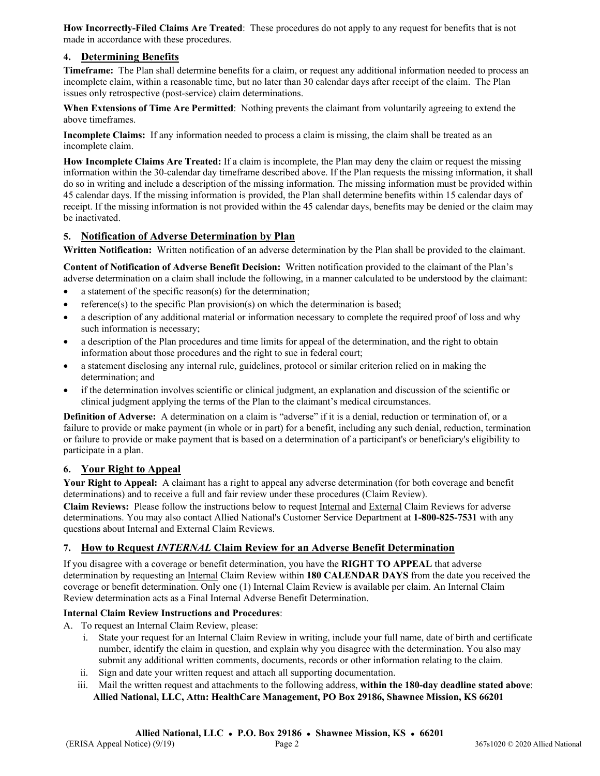**How Incorrectly-Filed Claims Are Treated**: These procedures do not apply to any request for benefits that is not made in accordance with these procedures.

#### **4. Determining Benefits**

**Timeframe:** The Plan shall determine benefits for a claim, or request any additional information needed to process an incomplete claim, within a reasonable time, but no later than 30 calendar days after receipt of the claim. The Plan issues only retrospective (post-service) claim determinations.

**When Extensions of Time Are Permitted**: Nothing prevents the claimant from voluntarily agreeing to extend the above timeframes.

**Incomplete Claims:** If any information needed to process a claim is missing, the claim shall be treated as an incomplete claim.

**How Incomplete Claims Are Treated:** If a claim is incomplete, the Plan may deny the claim or request the missing information within the 30-calendar day timeframe described above. If the Plan requests the missing information, it shall do so in writing and include a description of the missing information. The missing information must be provided within 45 calendar days. If the missing information is provided, the Plan shall determine benefits within 15 calendar days of receipt. If the missing information is not provided within the 45 calendar days, benefits may be denied or the claim may be inactivated.

#### **5. Notification of Adverse Determination by Plan**

**Written Notification:** Written notification of an adverse determination by the Plan shall be provided to the claimant.

**Content of Notification of Adverse Benefit Decision:** Written notification provided to the claimant of the Plan's adverse determination on a claim shall include the following, in a manner calculated to be understood by the claimant:

- a statement of the specific reason(s) for the determination;
- reference(s) to the specific Plan provision(s) on which the determination is based;
- a description of any additional material or information necessary to complete the required proof of loss and why such information is necessary;
- a description of the Plan procedures and time limits for appeal of the determination, and the right to obtain information about those procedures and the right to sue in federal court;
- a statement disclosing any internal rule, guidelines, protocol or similar criterion relied on in making the determination; and
- if the determination involves scientific or clinical judgment, an explanation and discussion of the scientific or clinical judgment applying the terms of the Plan to the claimant's medical circumstances.

**Definition of Adverse:** A determination on a claim is "adverse" if it is a denial, reduction or termination of, or a failure to provide or make payment (in whole or in part) for a benefit, including any such denial, reduction, termination or failure to provide or make payment that is based on a determination of a participant's or beneficiary's eligibility to participate in a plan.

#### **6. Your Right to Appeal**

**Your Right to Appeal:** A claimant has a right to appeal any adverse determination (for both coverage and benefit determinations) and to receive a full and fair review under these procedures (Claim Review).

**Claim Reviews:** Please follow the instructions below to request Internal and External Claim Reviews for adverse determinations. You may also contact Allied National's Customer Service Department at **1-800-825-7531** with any questions about Internal and External Claim Reviews.

#### **7. How to Request** *INTERNAL* **Claim Review for an Adverse Benefit Determination**

If you disagree with a coverage or benefit determination, you have the **RIGHT TO APPEAL** that adverse determination by requesting an Internal Claim Review within **180 CALENDAR DAYS** from the date you received the coverage or benefit determination. Only one (1) Internal Claim Review is available per claim. An Internal Claim Review determination acts as a Final Internal Adverse Benefit Determination.

#### **Internal Claim Review Instructions and Procedures**:

- A. To request an Internal Claim Review, please:
	- i. State your request for an Internal Claim Review in writing, include your full name, date of birth and certificate number, identify the claim in question, and explain why you disagree with the determination. You also may submit any additional written comments, documents, records or other information relating to the claim.
	- ii. Sign and date your written request and attach all supporting documentation.
	- iii. Mail the written request and attachments to the following address, **within the 180-day deadline stated above**: **Allied National, LLC, Attn: HealthCare Management, PO Box 29186, Shawnee Mission, KS 66201**